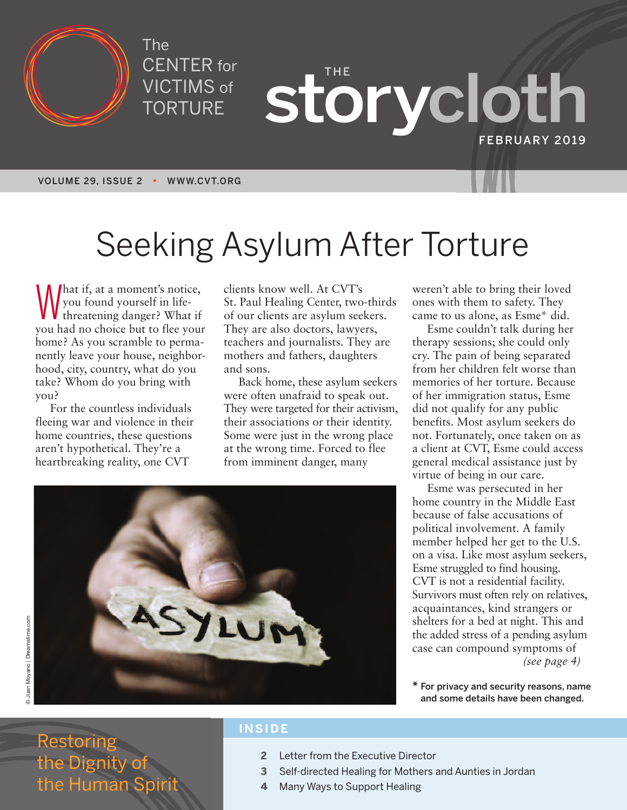

The CENTER for VICTIMS of TORTURE

**THE storycloth FEBRUARY 2019**

**VOLUME 29, ISSUE 2 • WWW.CVT.ORG**

# Seeking Asylum After Torture

What if, at a moment's notice,<br>you found yourself in life-<br>threatening danger? What if you found yourself in lifeyou had no choice but to flee your home? As you scramble to permanently leave your house, neighborhood, city, country, what do you take? Whom do you bring with you?

For the countless individuals fleeing war and violence in their home countries, these questions aren't hypothetical. They're a heartbreaking reality, one CVT

clients know well. At CVT's St. Paul Healing Center, two-thirds of our clients are asylum seekers. They are also doctors, lawyers, teachers and journalists. They are mothers and fathers, daughters and sons.

Back home, these asylum seekers were often unafraid to speak out. They were targeted for their activism, their associations or their identity. Some were just in the wrong place at the wrong time. Forced to flee from imminent danger, many



Esme couldn't talk during her therapy sessions; she could only cry. The pain of being separated from her children felt worse than memories of her torture. Because of her immigration status, Esme did not qualify for any public benefits. Most asylum seekers do not. Fortunately, once taken on as a client at CVT, Esme could access general medical assistance just by virtue of being in our care.

Esme was persecuted in her home country in the Middle East because of false accusations of political involvement. A family member helped her get to the U.S. on a visa. Like most asylum seekers, Esme struggled to find housing. CVT is not a residential facility. Survivors must often rely on relatives, acquaintances, kind strangers or shelters for a bed at night. This and the added stress of a pending asylum case can compound symptoms of *(see page 4)*

**\* For privacy and security reasons, name**



Restoring the Dignity of the Human Spi

### **INSIDE**

- **2** Letter from the Executive Director
- **3** Self-directed Healing for Mothers and Aunties in Jordan
- **4** Many Ways to Support Healing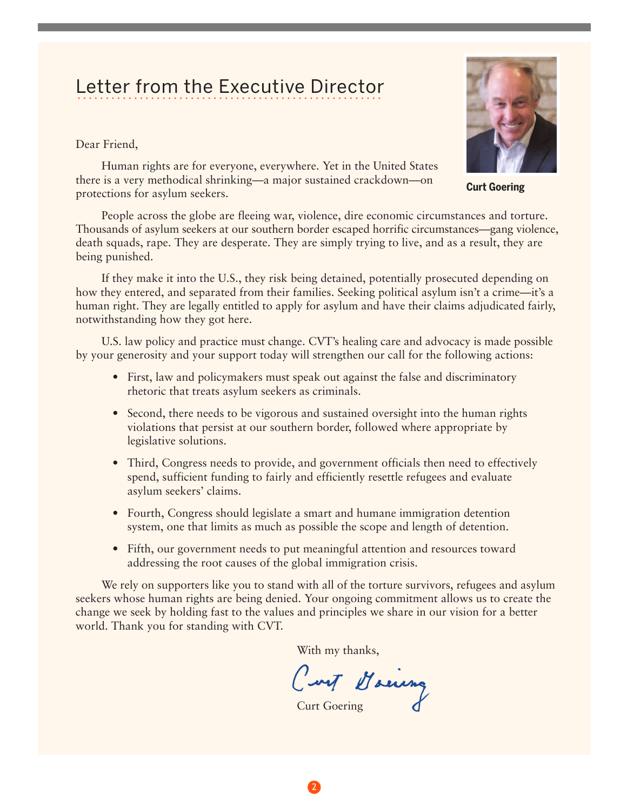### Letter from the Executive Director LULLUI TIUITI LIIU LAUUULIVU DIIUULUI

Dear Friend,

Human rights are for everyone, everywhere. Yet in the United States there is a very methodical shrinking—a major sustained crackdown—on protections for asylum seekers.



**Curt Goering**

People across the globe are fleeing war, violence, dire economic circumstances and torture. Thousands of asylum seekers at our southern border escaped horrific circumstances—gang violence, death squads, rape. They are desperate. They are simply trying to live, and as a result, they are being punished.

If they make it into the U.S., they risk being detained, potentially prosecuted depending on how they entered, and separated from their families. Seeking political asylum isn't a crime—it's a human right. They are legally entitled to apply for asylum and have their claims adjudicated fairly, notwithstanding how they got here.

U.S. law policy and practice must change. CVT's healing care and advocacy is made possible by your generosity and your support today will strengthen our call for the following actions:

- First, law and policymakers must speak out against the false and discriminatory rhetoric that treats asylum seekers as criminals.
- Second, there needs to be vigorous and sustained oversight into the human rights violations that persist at our southern border, followed where appropriate by legislative solutions.
- Third, Congress needs to provide, and government officials then need to effectively spend, sufficient funding to fairly and efficiently resettle refugees and evaluate asylum seekers' claims.
- Fourth, Congress should legislate a smart and humane immigration detention system, one that limits as much as possible the scope and length of detention.
- Fifth, our government needs to put meaningful attention and resources toward addressing the root causes of the global immigration crisis.

We rely on supporters like you to stand with all of the torture survivors, refugees and asylum seekers whose human rights are being denied. Your ongoing commitment allows us to create the change we seek by holding fast to the values and principles we share in our vision for a better world. Thank you for standing with CVT.

With my thanks,

Curt Maina

2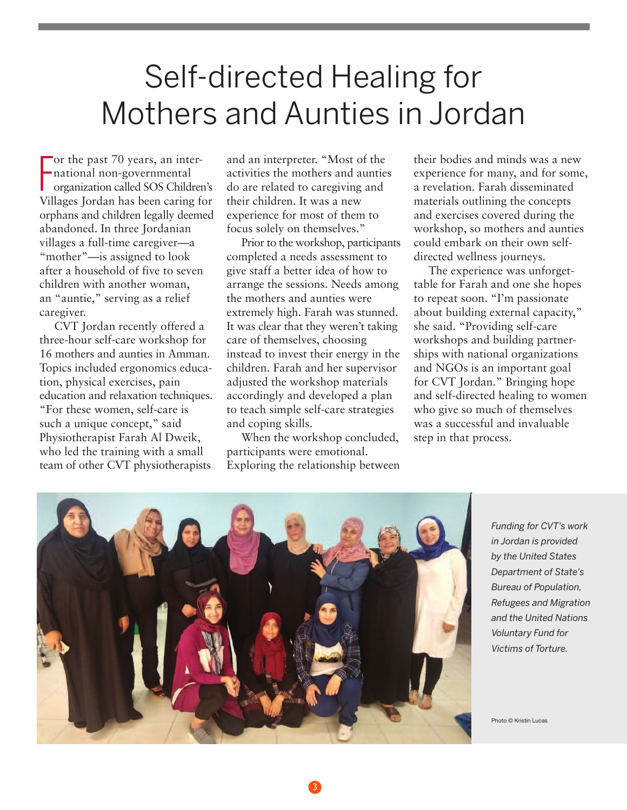## Self-directed Healing for Mothers and Aunties in Jordan

F or the past 70 years, an international non-governmental organization called SOS Children's Villages Jordan has been caring for orphans and children legally deemed abandoned. In three Jordanian villages a full-time caregiver—a "mother"—is assigned to look after a household of five to seven children with another woman, an "auntie," serving as a relief caregiver.

CVT Jordan recently offered a three-hour self-care workshop for 16 mothers and aunties in Amman. Topics included ergonomics education, physical exercises, pain education and relaxation techniques. "For these women, self-care is such a unique concept," said Physiotherapist Farah Al Dweik, who led the training with a small team of other CVT physiotherapists

and an interpreter. "Most of the activities the mothers and aunties do are related to caregiving and their children. It was a new experience for most of them to focus solely on themselves."

Prior to the workshop, participants completed a needs assessment to give staff a better idea of how to arrange the sessions. Needs among the mothers and aunties were extremely high. Farah was stunned. It was clear that they weren't taking care of themselves, choosing instead to invest their energy in the children. Farah and her supervisor adjusted the workshop materials accordingly and developed a plan to teach simple self-care strategies and coping skills.

When the workshop concluded, participants were emotional. Exploring the relationship between

3

their bodies and minds was a new experience for many, and for some, a revelation. Farah disseminated materials outlining the concepts and exercises covered during the workshop, so mothers and aunties could embark on their own selfdirected wellness journeys.

The experience was unforgettable for Farah and one she hopes to repeat soon. "I'm passionate about building external capacity," she said. "Providing self-care workshops and building partnerships with national organizations and NGOs is an important goal for CVT Jordan." Bringing hope and self-directed healing to women who give so much of themselves was a successful and invaluable step in that process.



*Funding for CVT's work in Jordan is provided by the United States Department of State's Bureau of Population, Refugees and Migration and the United Nations Voluntary Fund for Victims of Torture.*

Photo © Kristin Lucas